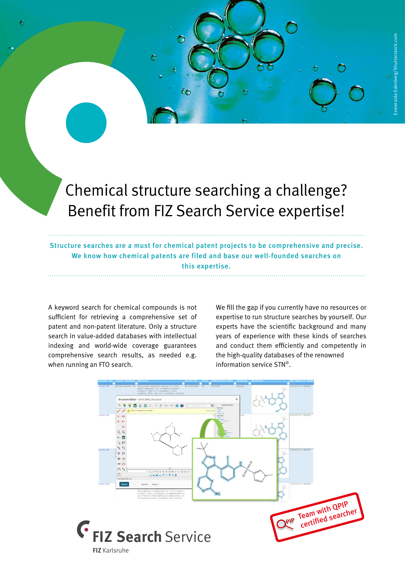## Chemical structure searching a challenge? Benefit from FIZ Search Service expertise!

O

Õ

Structure searches are a must for chemical patent projects to be comprehensive and precise. We know how chemical patents are filed and base our well-founded searches on this expertise.

A keyword search for chemical compounds is not sufficient for retrieving a comprehensive set of patent and non-patent literature. Only a structure search in value-added databases with intellectual indexing and world-wide coverage guarantees comprehensive search results, as needed e.g. when running an FTO search.

We fill the gap if you currently have no resources or expertise to run structure searches by yourself. Our experts have the scientific background and many years of experience with these kinds of searches and conduct them efficiently and competently in the high-quality databases of the renowned information service STN®.

Ó